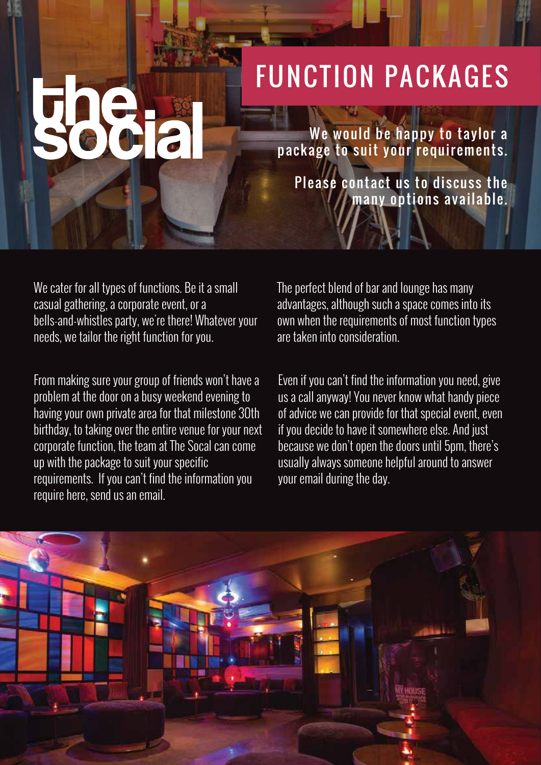## FUNCTION PACKAGES

We would be happy to taylor a package to suit your requirements.

Please contact us to discuss the many options available.

We cater for all types of functions. Be it a small casual gathering, a corporate event, or a bells-and-whistles party, we're there! Whatever your needs, we tailor the right function for you.

From making sure your group of friends won't have a problem at the door on a busy weekend evening to having your own private area for that milestone 30th birthday, to taking over the entire venue for your next corporate function, the team at The Socal can come up with the package to suit your specific requirements. If you can't find the information you require here, send us an email.

The perfect blend of bar and lounge has many advantages, although such a space comes into its own when the requirements of most function types are taken into consideration.

Even if you can't find the information you need, give us a call anyway! You never know what handy piece of advice we can provide for that special event, even if you decide to have it somewhere else. And just because we don't open the doors until 5pm, there's usually always someone helpful around to answer your email during the day.